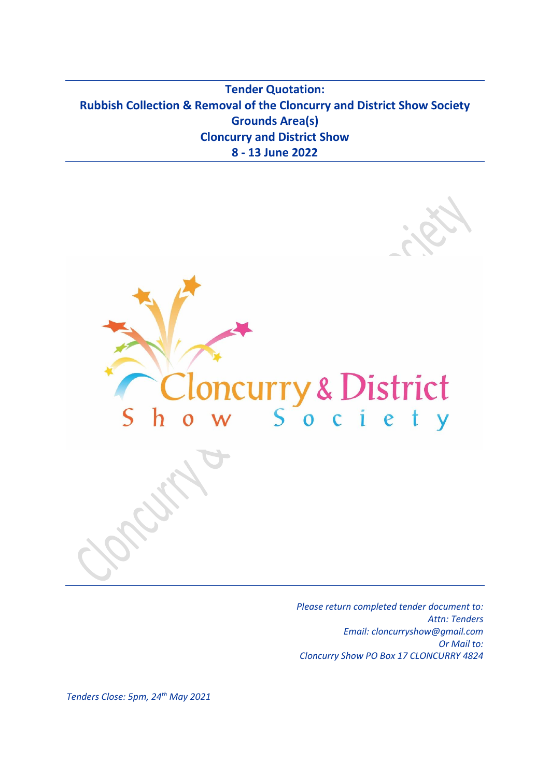**Tender Quotation: Rubbish Collection & Removal of the Cloncurry and District Show Society Grounds Area(s) Cloncurry and District Show 8 - 13 June 2022**



*Please return completed tender document to: Attn: Tenders Email: cloncurryshow@gmail.com Or Mail to: Cloncurry Show PO Box 17 CLONCURRY 4824*

*Tenders Close: 5pm, 24th May 2021*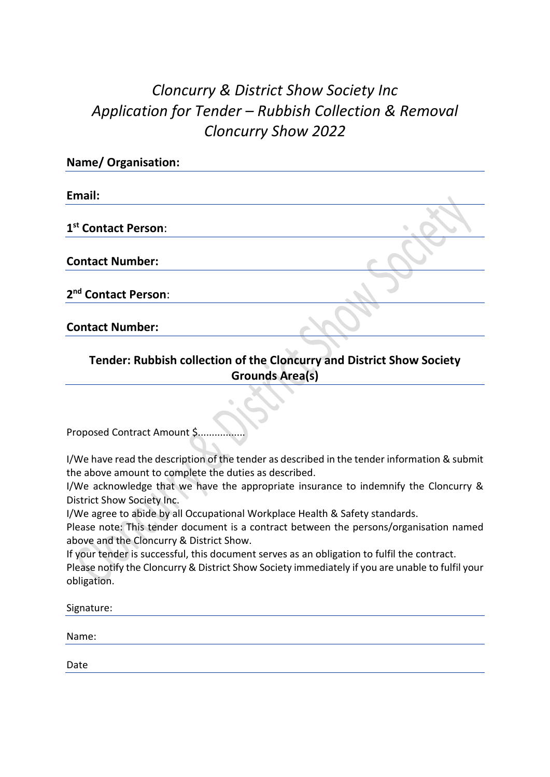## *Cloncurry & District Show Society Inc Application for Tender – Rubbish Collection & Removal Cloncurry Show 2022*

| <b>Name/ Organisation:</b>      |  |
|---------------------------------|--|
| Email:                          |  |
| 1 <sup>st</sup> Contact Person: |  |
| <b>Contact Number:</b>          |  |
| 2 <sup>nd</sup> Contact Person: |  |
| <b>Contact Number:</b>          |  |

## **Tender: Rubbish collection of the Cloncurry and District Show Society Grounds Area(s)**

Proposed Contract Amount \$.................

I/We have read the description of the tender as described in the tender information & submit the above amount to complete the duties as described.

I/We acknowledge that we have the appropriate insurance to indemnify the Cloncurry & District Show Society Inc.

I/We agree to abide by all Occupational Workplace Health & Safety standards.

Please note: This tender document is a contract between the persons/organisation named above and the Cloncurry & District Show.

If your tender is successful, this document serves as an obligation to fulfil the contract.

Please notify the Cloncurry & District Show Society immediately if you are unable to fulfil your obligation.

Signature:

Name:

Date